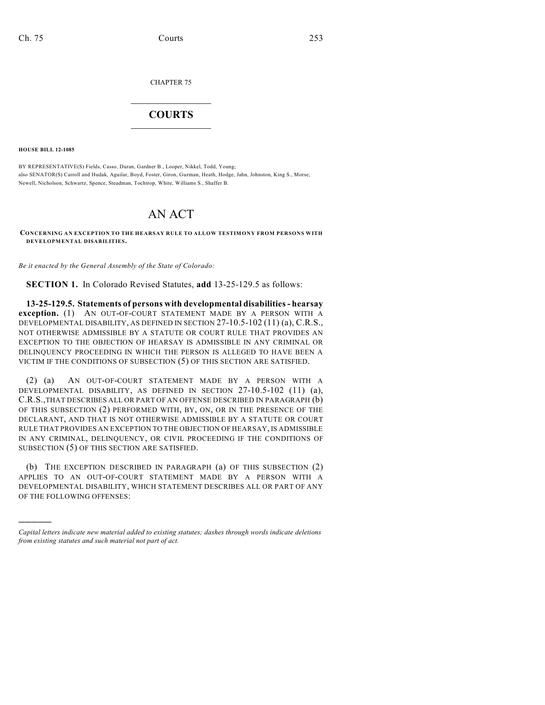CHAPTER 75

## $\mathcal{L}_\text{max}$  . The set of the set of the set of the set of the set of the set of the set of the set of the set of the set of the set of the set of the set of the set of the set of the set of the set of the set of the set **COURTS**  $\_$

**HOUSE BILL 12-1085**

)))))

BY REPRESENTATIVE(S) Fields, Casso, Duran, Gardner B., Looper, Nikkel, Todd, Young; also SENATOR(S) Carroll and Hudak, Aguilar, Boyd, Foster, Giron, Guzman, Heath, Hodge, Jahn, Johnston, King S., Morse, Newell, Nicholson, Schwartz, Spence, Steadman, Tochtrop, White, Williams S., Shaffer B.

## AN ACT

**CONCERNING AN EXCEPTION TO THE HEARSAY RULE TO ALLOW TESTIMONY FROM PERSONS WITH DEVELOPMENTAL DISABILITIES.**

*Be it enacted by the General Assembly of the State of Colorado:*

**SECTION 1.** In Colorado Revised Statutes, **add** 13-25-129.5 as follows:

**13-25-129.5. Statements of persons with developmental disabilities- hearsay exception.** (1) AN OUT-OF-COURT STATEMENT MADE BY A PERSON WITH A DEVELOPMENTAL DISABILITY, AS DEFINED IN SECTION 27-10.5-102 (11) (a), C.R.S., NOT OTHERWISE ADMISSIBLE BY A STATUTE OR COURT RULE THAT PROVIDES AN EXCEPTION TO THE OBJECTION OF HEARSAY IS ADMISSIBLE IN ANY CRIMINAL OR DELINQUENCY PROCEEDING IN WHICH THE PERSON IS ALLEGED TO HAVE BEEN A VICTIM IF THE CONDITIONS OF SUBSECTION (5) OF THIS SECTION ARE SATISFIED.

(2) (a) AN OUT-OF-COURT STATEMENT MADE BY A PERSON WITH A DEVELOPMENTAL DISABILITY, AS DEFINED IN SECTION 27-10.5-102 (11) (a), C.R.S.,THAT DESCRIBES ALL OR PART OF AN OFFENSE DESCRIBED IN PARAGRAPH (b) OF THIS SUBSECTION (2) PERFORMED WITH, BY, ON, OR IN THE PRESENCE OF THE DECLARANT, AND THAT IS NOT OTHERWISE ADMISSIBLE BY A STATUTE OR COURT RULE THAT PROVIDES AN EXCEPTION TO THE OBJECTION OF HEARSAY, IS ADMISSIBLE IN ANY CRIMINAL, DELINQUENCY, OR CIVIL PROCEEDING IF THE CONDITIONS OF SUBSECTION (5) OF THIS SECTION ARE SATISFIED.

(b) THE EXCEPTION DESCRIBED IN PARAGRAPH (a) OF THIS SUBSECTION (2) APPLIES TO AN OUT-OF-COURT STATEMENT MADE BY A PERSON WITH A DEVELOPMENTAL DISABILITY, WHICH STATEMENT DESCRIBES ALL OR PART OF ANY OF THE FOLLOWING OFFENSES:

*Capital letters indicate new material added to existing statutes; dashes through words indicate deletions from existing statutes and such material not part of act.*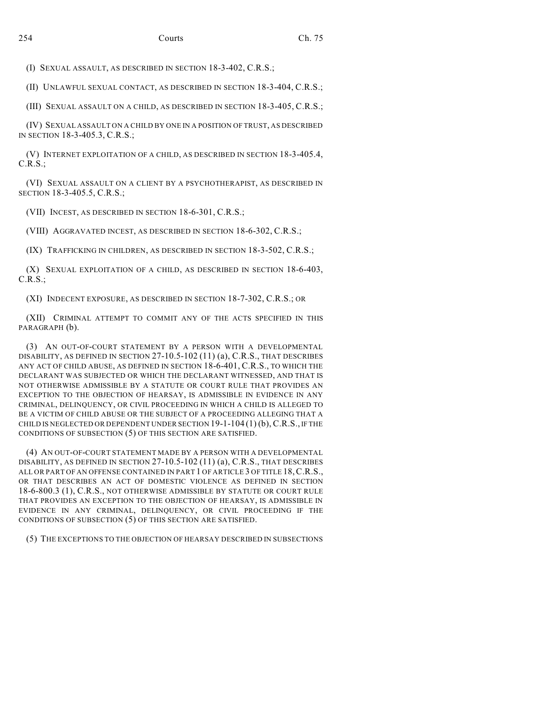(I) SEXUAL ASSAULT, AS DESCRIBED IN SECTION 18-3-402, C.R.S.;

(II) UNLAWFUL SEXUAL CONTACT, AS DESCRIBED IN SECTION 18-3-404, C.R.S.;

(III) SEXUAL ASSAULT ON A CHILD, AS DESCRIBED IN SECTION 18-3-405, C.R.S.;

(IV) SEXUAL ASSAULT ON A CHILD BY ONE IN A POSITION OF TRUST, AS DESCRIBED IN SECTION 18-3-405.3, C.R.S.;

(V) INTERNET EXPLOITATION OF A CHILD, AS DESCRIBED IN SECTION 18-3-405.4, C.R.S.;

(VI) SEXUAL ASSAULT ON A CLIENT BY A PSYCHOTHERAPIST, AS DESCRIBED IN SECTION 18-3-405.5, C.R.S.;

(VII) INCEST, AS DESCRIBED IN SECTION 18-6-301, C.R.S.;

(VIII) AGGRAVATED INCEST, AS DESCRIBED IN SECTION 18-6-302, C.R.S.;

(IX) TRAFFICKING IN CHILDREN, AS DESCRIBED IN SECTION 18-3-502, C.R.S.;

(X) SEXUAL EXPLOITATION OF A CHILD, AS DESCRIBED IN SECTION 18-6-403, C.R.S.;

(XI) INDECENT EXPOSURE, AS DESCRIBED IN SECTION 18-7-302, C.R.S.; OR

(XII) CRIMINAL ATTEMPT TO COMMIT ANY OF THE ACTS SPECIFIED IN THIS PARAGRAPH (b).

(3) AN OUT-OF-COURT STATEMENT BY A PERSON WITH A DEVELOPMENTAL DISABILITY, AS DEFINED IN SECTION 27-10.5-102 (11) (a), C.R.S., THAT DESCRIBES ANY ACT OF CHILD ABUSE, AS DEFINED IN SECTION 18-6-401, C.R.S., TO WHICH THE DECLARANT WAS SUBJECTED OR WHICH THE DECLARANT WITNESSED, AND THAT IS NOT OTHERWISE ADMISSIBLE BY A STATUTE OR COURT RULE THAT PROVIDES AN EXCEPTION TO THE OBJECTION OF HEARSAY, IS ADMISSIBLE IN EVIDENCE IN ANY CRIMINAL, DELINQUENCY, OR CIVIL PROCEEDING IN WHICH A CHILD IS ALLEGED TO BE A VICTIM OF CHILD ABUSE OR THE SUBJECT OF A PROCEEDING ALLEGING THAT A CHILD IS NEGLECTED OR DEPENDENT UNDER SECTION  $19-1-104(1)$  (b), C.R.S., IF THE CONDITIONS OF SUBSECTION (5) OF THIS SECTION ARE SATISFIED.

(4) AN OUT-OF-COURT STATEMENT MADE BY A PERSON WITH A DEVELOPMENTAL DISABILITY, AS DEFINED IN SECTION 27-10.5-102 (11) (a), C.R.S., THAT DESCRIBES ALL OR PART OF AN OFFENSE CONTAINED IN PART 1 OF ARTICLE 3 OF TITLE 18,C.R.S., OR THAT DESCRIBES AN ACT OF DOMESTIC VIOLENCE AS DEFINED IN SECTION 18-6-800.3 (1), C.R.S., NOT OTHERWISE ADMISSIBLE BY STATUTE OR COURT RULE THAT PROVIDES AN EXCEPTION TO THE OBJECTION OF HEARSAY, IS ADMISSIBLE IN EVIDENCE IN ANY CRIMINAL, DELINQUENCY, OR CIVIL PROCEEDING IF THE CONDITIONS OF SUBSECTION (5) OF THIS SECTION ARE SATISFIED.

(5) THE EXCEPTIONS TO THE OBJECTION OF HEARSAY DESCRIBED IN SUBSECTIONS